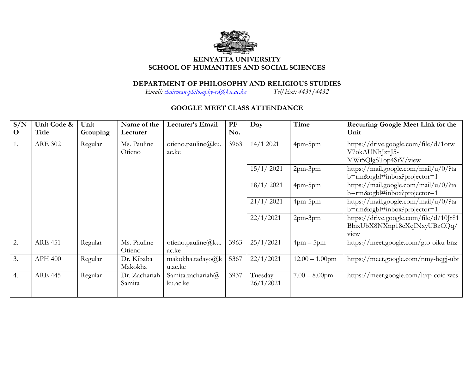

## **KENYATTA UNIVERSITY SCHOOL OF HUMANITIES AND SOCIAL SCIENCES**

## **DEPARTMENT OF PHILOSOPHY AND RELIGIOUS STUDIES**

*Email: [chairman-philosophy-rs@ku.ac.ke](mailto:chairman-philosophy-rs@ku.ac.ke) Tel/Ext: 4431/4432*

## **GOOGLE MEET CLASS ATTENDANCE**

| S/N<br>$\mathbf{O}$ | Unit Code &<br>Title | Unit<br>Grouping | Name of the<br>Lecturer | Lecturer's Email              | PF<br>No. | Day                  | Time              | Recurring Google Meet Link for the<br>Unit                                                 |
|---------------------|----------------------|------------------|-------------------------|-------------------------------|-----------|----------------------|-------------------|--------------------------------------------------------------------------------------------|
| 1.                  | <b>ARE 302</b>       | Regular          | Ms. Pauline<br>Otieno   | otieno.pauline@ku.<br>ac.ke   | 3963      | 14/1 2021            | 4pm-5pm           | https://drive.google.com/file/d/1otw<br>V7okAUNhJznJ5-<br>MWt5QlgSTop4StV/view             |
|                     |                      |                  |                         |                               |           | 15/1/2021            | 2pm-3pm           | https://mail.google.com/mail/u/0/?ta<br>b=rm&ogbl#inbox?projector=1                        |
|                     |                      |                  |                         |                               |           | 18/1/2021            | 4pm-5pm           | https://mail.google.com/mail/u/0/?ta<br>b=rm&ogbl#inbox?projector=1                        |
|                     |                      |                  |                         |                               |           | 21/1/2021            | 4pm-5pm           | https://mail.google.com/mail/u/0/?ta<br>b=rm&ogbl#inbox?projector=1                        |
|                     |                      |                  |                         |                               |           | 22/1/2021            | 2pm-3pm           | https://drive.google.com/file/d/10Jr81<br>BlnxUbX8NXnp18cXqINxyUBzCQq/<br>v <sub>tew</sub> |
| 2.                  | <b>ARE 451</b>       | Regular          | Ms. Pauline<br>Otieno   | otieno.pauline@ku.<br>ac.ke   | 3963      | 25/1/2021            | $4$ pm $-5$ pm    | https://meet.google.com/gto-oiku-bnz                                                       |
| 3.                  | <b>APH 400</b>       | Regular          | Dr. Kibaba<br>Makokha   | makokha.tadayo@k<br>u.ac.ke   | 5367      | 22/1/2021            | $12.00 - 1.00$ pm | https://meet.google.com/nmy-bqgj-ubt                                                       |
| 4.                  | <b>ARE 445</b>       | Regular          | Dr. Zachariah<br>Samita | Samita.zachariah@<br>ku.ac.ke | 3937      | Tuesday<br>26/1/2021 | $7.00 - 8.00$ pm  | https://meet.google.com/hxp-coic-wcs                                                       |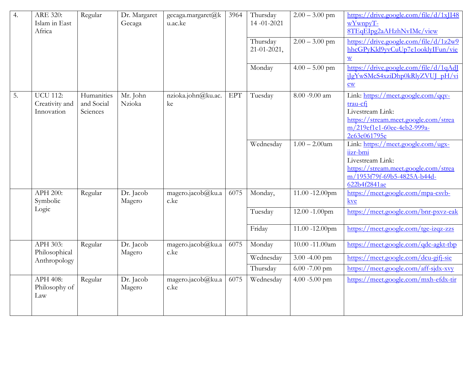| 4. | ARE 320:<br>Islam in East<br>Africa             | Regular                              | Dr. Margaret<br>Gecaga | gecaga.margaret@k<br>u.ac.ke | 3964                        | Thursday<br>14-01-2021<br>Thursday<br>$21 - 01 - 2021$ ,<br>Monday | $2.00 - 3.00$ pm<br>$2.00 - 3.00$ pm<br>$4.00 - 5.00$ pm | https://drive.google.com/file/d/1xJI48<br>wYwnpyT-<br>8TEqEIpg2aAHzhNvIMc/view<br>https://drive.google.com/file/d/1z2w9<br>hhcGPyKld9yvCuUp7e1ooklyIFun/vie<br>$\underline{\mathbf{W}}$<br>https://drive.google.com/file/d/1qAdJ<br>jJgYwSMcS4xziDhp0kRlyZVUJ_pH/vi<br>$\underline{ew}$ |
|----|-------------------------------------------------|--------------------------------------|------------------------|------------------------------|-----------------------------|--------------------------------------------------------------------|----------------------------------------------------------|-----------------------------------------------------------------------------------------------------------------------------------------------------------------------------------------------------------------------------------------------------------------------------------------|
| 5. | <b>UCU 112:</b><br>Creativity and<br>Innovation | Humanities<br>and Social<br>Sciences | Mr. John<br>Nzioka     | nzioka.john@ku.ac.<br>ke     | $\ensuremath{\mathrm{EPT}}$ | Tuesday                                                            | $8.00 - 9.00$ am                                         | Link: https://meet.google.com/qqv-<br>trau-cfi<br>Livestream Link:<br>https://stream.meet.google.com/strea<br>m/219ef1e1-60ee-4cb2-999a-<br>2c63c061795e                                                                                                                                |
|    |                                                 |                                      |                        |                              |                             | Wednesday                                                          | $1.00 - 2.00$ am                                         | Link: https://meet.google.com/ugx-<br>iizr-bmi<br>Livestream Link:<br>https://stream.meet.google.com/strea<br>m/1953f79f-69b5-4825A-b44d-<br>622b4f2841ae                                                                                                                               |
|    | APH 200:<br>Symbolic                            | Regular                              | Dr. Jacob<br>Magero    | magero.jacob@ku.a<br>c.ke    | 6075                        | Monday,                                                            | 11.00 -12.00pm                                           | https://meet.google.com/mpa-csvb-<br>kve                                                                                                                                                                                                                                                |
|    | Logic                                           |                                      |                        |                              |                             | Tuesday                                                            | 12.00 -1.00pm                                            | https://meet.google.com/bnr-pxvz-eak                                                                                                                                                                                                                                                    |
|    |                                                 |                                      |                        |                              |                             | Friday                                                             | 11.00 -12.00pm                                           | https://meet.google.com/tge-izqz-zzs                                                                                                                                                                                                                                                    |
|    | APH 303:<br>Philosophical                       | Regular                              | Dr. Jacob<br>Magero    | magero.jacob@ku.a<br>c.ke    | 6075                        | Monday                                                             | $10.00 - 11.00$ am                                       | https://meet.google.com/qdc-agkt-tbp                                                                                                                                                                                                                                                    |
|    | Anthropology                                    |                                      |                        |                              |                             | Wednesday                                                          | 3.00 $-4.00$ pm                                          | https://meet.google.com/dcu-gifi-sie                                                                                                                                                                                                                                                    |
|    |                                                 |                                      |                        |                              |                             | Thursday                                                           | 6.00 -7.00 pm                                            | https://meet.google.com/aff-sjdx-xvy                                                                                                                                                                                                                                                    |
|    | APH 408:<br>Philosophy of<br>Law                | Regular                              | Dr. Jacob<br>Magero    | magero.jacob@ku.a<br>c.ke    | 6075                        | Wednesday                                                          | 4.00 $-5.00$ pm                                          | https://meet.google.com/mxh-efdx-tir                                                                                                                                                                                                                                                    |